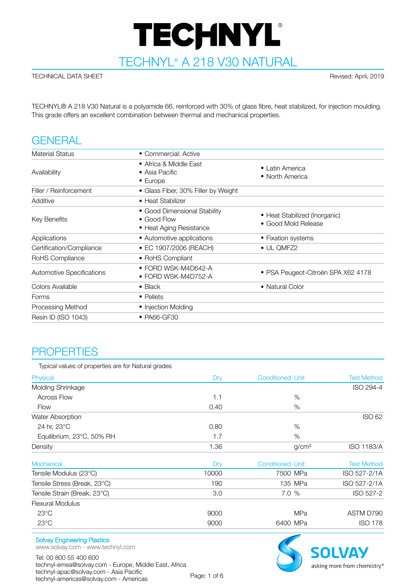# TECHNYL®

TECHNYL® A 218 V30 NATURAL

#### TECHNICAL DATA SHEET Revised: April, 2019

TECHNYL® A 218 V30 Natural is a polyamide 66, reinforced with 30% of glass fibre, heat stabilized, for injection moulding. This grade offers an excellent combination between thermal and mechanical properties.

# **GENERAL**

| • Commercial: Active                                                   |                                                      |
|------------------------------------------------------------------------|------------------------------------------------------|
| • Africa & Middle East<br>• Asia Pacific<br>$\bullet$ Europe           | • Latin America<br>• North America                   |
| • Glass Fiber, 30% Filler by Weight                                    |                                                      |
| • Heat Stabilizer                                                      |                                                      |
| • Good Dimensional Stability<br>• Good Flow<br>• Heat Aging Resistance | • Heat Stabilized (Inorganic)<br>• Good Mold Release |
| • Automotive applications                                              | • Fixation systems                                   |
| • EC 1907/2006 (REACH)                                                 | $\bullet$ UL QMFZ2                                   |
| • RoHS Compliant                                                       |                                                      |
| $\bullet$ FORD WSK-M4D642-A<br>• FORD WSK-M4D752-A                     | • PSA Peugeot-Citroën SPA X62 4178                   |
| $\bullet$ Black                                                        | • Natural Color                                      |
| • Pellets                                                              |                                                      |
| • Injection Molding                                                    |                                                      |
| • PA66-GF30                                                            |                                                      |
|                                                                        |                                                      |

# **PROPERTIES**

| Typical values of properties are for Natural grades |       |                         |                   |                    |
|-----------------------------------------------------|-------|-------------------------|-------------------|--------------------|
| Physical                                            | Dry   | <b>Conditioned Unit</b> |                   | <b>Test Method</b> |
| Molding Shrinkage                                   |       |                         |                   | ISO 294-4          |
| <b>Across Flow</b>                                  | 1.1   |                         | %                 |                    |
| <b>Flow</b>                                         | 0.40  |                         | %                 |                    |
| Water Absorption                                    |       |                         |                   | <b>ISO 62</b>      |
| 24 hr, 23°C                                         | 0.80  |                         | %                 |                    |
| Equilibrium, 23°C, 50% RH                           | 1.7   |                         | %                 |                    |
| Density                                             | 1.36  |                         | g/cm <sup>3</sup> | <b>ISO 1183/A</b>  |
| Mechanical                                          | Dry   | <b>Conditioned Unit</b> |                   | <b>Test Method</b> |
| Tensile Modulus (23°C)                              | 10000 | 7500 MPa                |                   | ISO 527-2/1A       |
| Tensile Stress (Break, 23°C)                        | 190   |                         | 135 MPa           | ISO 527-2/1A       |
| Tensile Strain (Break, 23°C)                        | 3.0   | 7.0 %                   |                   | ISO 527-2          |
| <b>Flexural Modulus</b>                             |       |                         |                   |                    |
| $23^{\circ}$ C                                      | 9000  |                         | <b>MPa</b>        | ASTM D790          |
| $23^{\circ}$ C                                      | 9000  | 6400 MPa                |                   | <b>ISO 178</b>     |

#### Solvay Engineering Plastics

www.solvay.com - www.technyl.com

Tel: 00 800 55 400 600 technyl-emea@solvay.com - Europe, Middle East, Africa technyl-apac@solvay.com - Asia Pacific technyl-americas@solvay.com - Americas Page: 1 of 6

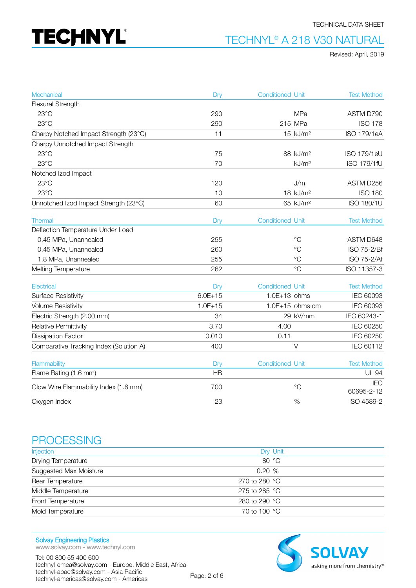

#### TECHNICAL DATA SHEET

## TECHNYL® A 218 V30 NATURAL

Revised: April, 2019

| Mechanical                              | Dry         | <b>Conditioned Unit</b> |                           | <b>Test Method</b>       |
|-----------------------------------------|-------------|-------------------------|---------------------------|--------------------------|
| Flexural Strength                       |             |                         |                           |                          |
| $23^{\circ}$ C                          | 290         |                         | <b>MPa</b>                | ASTM D790                |
| $23^{\circ}$ C                          | 290         |                         | 215 MPa                   | <b>ISO 178</b>           |
| Charpy Notched Impact Strength (23°C)   | 11          |                         | 15 kJ/m <sup>2</sup>      | <b>ISO 179/1eA</b>       |
| Charpy Unnotched Impact Strength        |             |                         |                           |                          |
| $23^{\circ}$ C                          | 75          |                         | 88 kJ/m <sup>2</sup>      | <b>ISO 179/1eU</b>       |
| $23^{\circ}$ C                          | 70          |                         | kJ/m <sup>2</sup>         | ISO 179/1fU              |
| Notched Izod Impact                     |             |                         |                           |                          |
| $23^{\circ}$ C                          | 120         |                         | J/m                       | ASTM D256                |
| $23^{\circ}$ C                          | 10          |                         | 18 kJ/m <sup>2</sup>      | <b>ISO 180</b>           |
| Unnotched Izod Impact Strength (23°C)   | 60          |                         | 65 kJ/m <sup>2</sup>      | ISO 180/1U               |
| Thermal                                 | Dry         | <b>Conditioned Unit</b> |                           | <b>Test Method</b>       |
| Deflection Temperature Under Load       |             |                         |                           |                          |
| 0.45 MPa, Unannealed                    | 255         |                         | $^{\circ}C$               | ASTM D648                |
| 0.45 MPa, Unannealed                    | 260         |                         | $^{\circ}C$               | ISO 75-2/Bf              |
| 1.8 MPa, Unannealed                     | 255         |                         | $^{\circ}C$               | ISO 75-2/Af              |
| Melting Temperature                     | 262         |                         | $^{\circ}C$               | ISO 11357-3              |
| Electrical                              | Dry         | <b>Conditioned Unit</b> |                           | <b>Test Method</b>       |
| <b>Surface Resistivity</b>              | $6.0E + 15$ | $1.0E+13$ ohms          |                           | IEC 60093                |
| <b>Volume Resistivity</b>               | $1.0E + 15$ |                         | $1.0E+15$ ohms $\cdot$ cm | IEC 60093                |
| Electric Strength (2.00 mm)             | 34          |                         | 29 kV/mm                  | IEC 60243-1              |
| Relative Permittivity                   | 3.70        | 4.00                    |                           | IEC 60250                |
| <b>Dissipation Factor</b>               | 0.010       | 0.11                    |                           | IEC 60250                |
| Comparative Tracking Index (Solution A) | 400         |                         | $\vee$                    | IEC 60112                |
| Flammability                            | Dry         | <b>Conditioned Unit</b> |                           | <b>Test Method</b>       |
| Flame Rating (1.6 mm)                   | <b>HB</b>   |                         |                           | <b>UL 94</b>             |
| Glow Wire Flammability Index (1.6 mm)   | 700         |                         | $\rm ^{\circ}C$           | <b>IEC</b><br>60695-2-12 |
| Oxygen Index                            | 23          |                         | %                         | ISO 4589-2               |

## **PROCESSING**

| Injection              | Dry Unit                |
|------------------------|-------------------------|
| Drying Temperature     | 80 °C                   |
| Suggested Max Moisture | 0.20%                   |
| Rear Temperature       | 270 to 280 $^{\circ}$ C |
| Middle Temperature     | 275 to 285 $^{\circ}$ C |
| Front Temperature      | 280 to 290 $^{\circ}$ C |
| Mold Temperature       | 70 to 100 °C            |

Solvay Engineering Plastics www.solvay.com - www.technyl.com

Tel: 00 800 55 400 600 technyl-emea@solvay.com - Europe, Middle East, Africa technyl-apac@solvay.com - Asia Pacific technyl-americas@solvay.com - Americas Page: 2 of 6

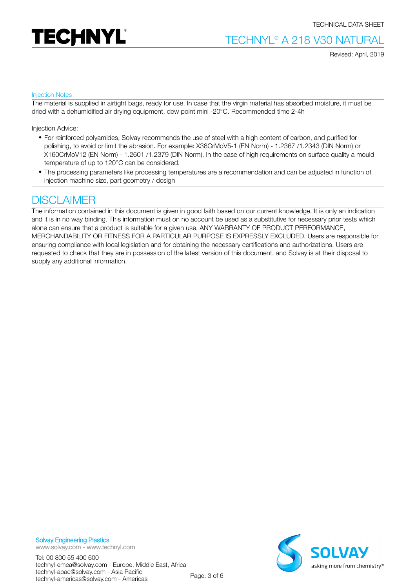



Revised: April, 2019

#### Injection Notes

The material is supplied in airtight bags, ready for use. In case that the virgin material has absorbed moisture, it must be dried with a dehumidified air drying equipment, dew point mini -20°C. Recommended time 2-4h

Injection Advice:

- For reinforced polyamides, Solvay recommends the use of steel with a high content of carbon, and purified for polishing, to avoid or limit the abrasion. For example: X38CrMoV5-1 (EN Norm) - 1.2367 /1.2343 (DIN Norm) or X160CrMoV12 (EN Norm) - 1.2601 /1.2379 (DIN Norm). In the case of high requirements on surface quality a mould temperature of up to 120°C can be considered.
- The processing parameters like processing temperatures are a recommendation and can be adjusted in function of injection machine size, part geometry / design

## **DISCLAIMER**

The information contained in this document is given in good faith based on our current knowledge. It is only an indication and it is in no way binding. This information must on no account be used as a substitutive for necessary prior tests which alone can ensure that a product is suitable for a given use. ANY WARRANTY OF PRODUCT PERFORMANCE, MERCHANDABILITY OR FITNESS FOR A PARTICULAR PURPOSE IS EXPRESSLY EXCLUDED. Users are responsible for ensuring compliance with local legislation and for obtaining the necessary certifications and authorizations. Users are requested to check that they are in possession of the latest version of this document, and Solvay is at their disposal to supply any additional information.



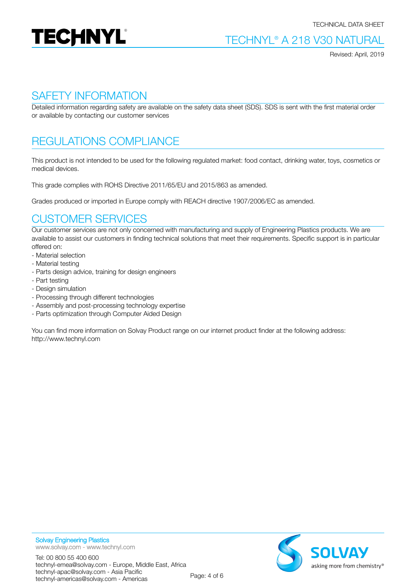

Revised: April, 2019

## SAFETY INFORMATION

Detailed information regarding safety are available on the safety data sheet (SDS). SDS is sent with the first material order or available by contacting our customer services

# REGULATIONS COMPLIANCE

This product is not intended to be used for the following regulated market: food contact, drinking water, toys, cosmetics or medical devices.

This grade complies with ROHS Directive 2011/65/EU and 2015/863 as amended.

Grades produced or imported in Europe comply with REACH directive 1907/2006/EC as amended.

# CUSTOMER SERVICES

Our customer services are not only concerned with manufacturing and supply of Engineering Plastics products. We are available to assist our customers in finding technical solutions that meet their requirements. Specific support is in particular offered on:

- Material selection
- Material testing
- Parts design advice, training for design engineers
- Part testing
- Design simulation
- Processing through different technologies
- Assembly and post-processing technology expertise
- Parts optimization through Computer Aided Design

You can find more information on Solvay Product range on our internet product finder at the following address: http://www.technyl.com

technyl-apac@solvay.com - Asia Pacific

technyl-emea@solvay.com - Europe, Middle East, Africa

Tel: 00 800 55 400 600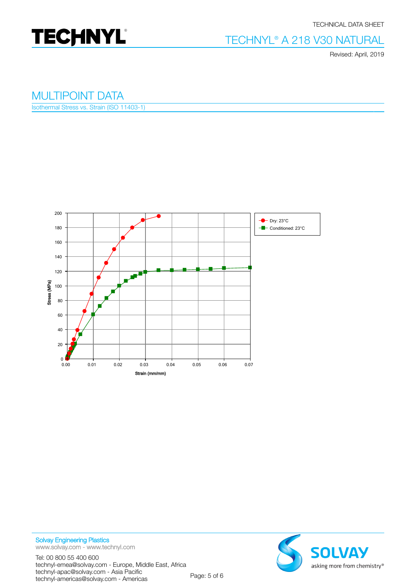

#### TECHNICAL DATA SHEET

## TECHNYL® A 218 V30 NATURAL

Revised: April, 2019

### MULTIPOINT DATA

Isothermal Stress vs. Strain (ISO 11403-1)



Solvay Engineering Plastics www.solvay.com - www.technyl.com